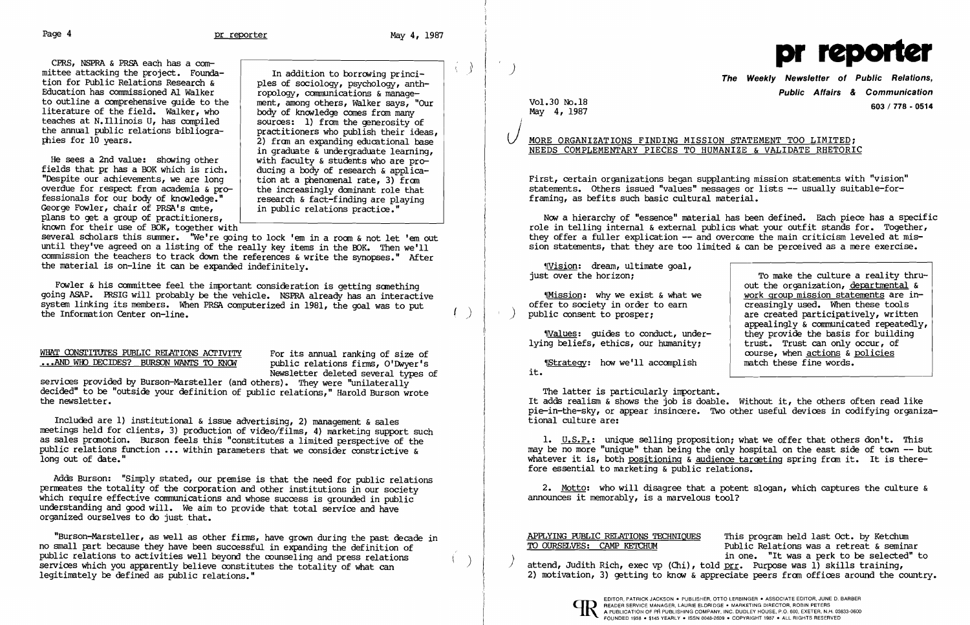CPRS, NSPRA & PRSh each has a committee attacking the project. Foundation for Public Relations Research & Education has commissioned AI Walker to outline a comprehensive guide to the literature of the field. Walker, who teaches at N.Illinois U, has compiled the annual public relations bibliographies for 10 years.

He sees a 2nd value: showing other fields that pr has a BOK which is rich. "Despite our achievements, we are long overdue for respect from academia & professionals for our body of knowledge." George Fowler, chair of PRSh's ante, plans to get a group of practitioners, known for their use of BOK, together with

several scholars this summer. "We're going to lock 'em in a room & not let 'em out until they've agreed on a listing of the really key items in the BOK. Then we'll commission the teachers to track down the references & write the synopses." After the material is on-line it can be expanded indefinitely.

Fowler & his committee feel the important consideration is getting something going ASAP. PRSIG will probably be the vehicle. NSPRA already has an interactive system linking its members. When PRSh computerized in 1981, the goal was to put the Infornation Center on-line.

### WHAT CONSTITUTES PUBLIC RELATIONS ACTIVITY For its annual ranking of size of ...AND WHO DECIDES? BURSON WANTS TO KNOW public relations firms, O'Dwyer's ... AND WHO DECIDES? BURSON WANTS TO KNOW

In addition to borrowing principles of sociology, psychology, anthropology, communications &management, among others, Walker says, "Our body of knowledge comes from many sources: 1) from the generosity of practitioners who publish their ideas, 2) fran an expanding educational base in graduate & undergraduate learning, with faculty & students who are producing a body of research & application at a phenomenal rate, 3) fran the increasingly dominant role that research & fact-finding are playing in public relations practice."

services provided by Burson-Marsteller (and others). They were "unilaterally decided" to be "outside your definition of public relations," Harold Burson wrote the newsletter.

Included are 1) institutional & issue advertising, 2) management & sales meetings held for clients, 3) production of video/films, 4) marketing support such as sales pranotion. Burson feels this "constitutes a limited perspective of the public relations function ... within parameters that we consider constrictive & long out of date."

*(*  $\left( \begin{array}{c} \end{array} \right)$ 

# MORE ORGANIZATIONS FINDING MISSION STATEMENT TOO LIMITED; NEEDS COMPLEMENTARY PIECES TO HUMANIZE & VALIDATE RHETORIC

Newsletter deleted several types of

2. Motto: who will disagree that a potent slogan, which captures the culture & announces it memorably, is a marvelous tool?

APPLYING PUBLIC RELATIONS TECHNIQUES This program held last Oct. by Ketchum<br>TO OURSELVES: CAMP KETCHUM Public Relations was a retreat & semina Public Relations was a retreat & seminar<br>in one. "It was a perk to be selected" to attend, Judith Rich, exec vp (Chi), told prr. Purpose was 1) skills training, 2) motivation, 3) getting to know & appreciate peers from offices around the country.



Adds Burson: "Simply stated, our premise is that the need for public relations permeates the totality of the corporation and other institutions in our society which require effective communications and whose success is grounded in public understanding and good will. We aim to provide that total service and have organized ourselves to do just that.

"Burson-Marsteller, as well as other firms, have grown during the past decade in no small part because they have been successful in expanding the definition of public relations to activities well beyond the counseling and press relations services which you apparently believe constitutes the totality of what can legitimately be defined as public relations."

)

 $\langle \rangle$ 

### Vol.30 No.18 May 4, 1987



The Weekly NeWSletter of Public Relations, Public Affairs & Communication 603/778 - 0514

First, certain organizations began supplanting mission statements with "vision" statements. Others issued "values" messages or lists -- usually suitable-forframing, as befits such basic cultural material.

Now a hierarchy of "essence" naterial has been defined. Each piece has a specific role in telling internal & external publics what your outfit stands for. Together, they offer a fuller explication -- and overcome the main criticism leveled at mission statements, that they are too limited & can be perceived as a mere exercise.

~rvision: dream, ultinate goal, just over the horizon;

~[Mission: why we exist & what we offer to society in order to earn ) pUblic consent to prosper;

~lValues: guides to conduct, underlying beliefs, ethics, our humanity;

~[Strategy: how we'll accanplish it.

To make the culture a reality thruout the organization, departmental & work group mission statements are increasingly used. When these tools are created participatively, written appealingly & communicated repeatedly, they provide the basis for building trust. Trust can only occur, of course, when actions  $\&$  policies match these fine words.

The latter is particularly important. It adds realism & shows the job is doable. Without it, the others often read like pie-in-the-sky, or appear insincere. Two other useful devices in codifying organizational culture are:

1. U.S.P.: unique selling proposition; what we offer that others don't. This may be no more "unique" than being the only hospital on the east side of town  $-$ - but whatever it is, both positioning & audience targeting spring from it. It is therefore essential to marketing & public relations.

)